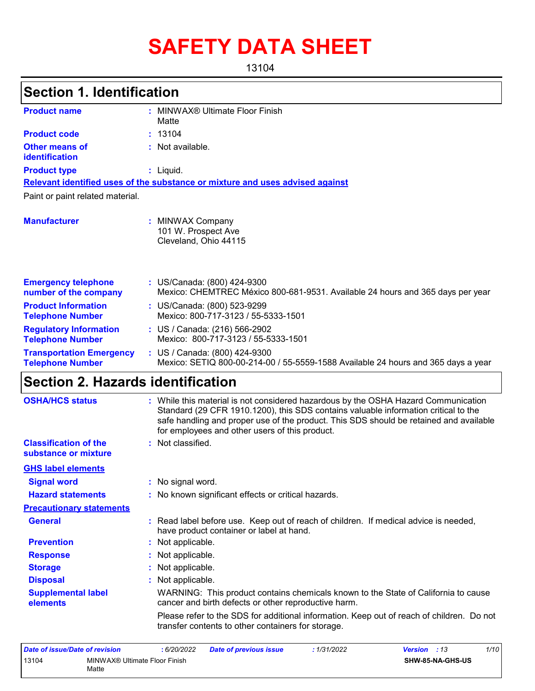# **SAFETY DATA SHEET**

13104

| <b>Section 1. Identification</b>                           |                                                                                                                                                                                                                                                                                                                       |
|------------------------------------------------------------|-----------------------------------------------------------------------------------------------------------------------------------------------------------------------------------------------------------------------------------------------------------------------------------------------------------------------|
| <b>Product name</b>                                        | : MINWAX® Ultimate Floor Finish<br>Matte                                                                                                                                                                                                                                                                              |
| <b>Product code</b>                                        | 13104                                                                                                                                                                                                                                                                                                                 |
| <b>Other means of</b><br>identification                    | : Not available.                                                                                                                                                                                                                                                                                                      |
| <b>Product type</b>                                        | $:$ Liquid.                                                                                                                                                                                                                                                                                                           |
|                                                            | Relevant identified uses of the substance or mixture and uses advised against                                                                                                                                                                                                                                         |
| Paint or paint related material.                           |                                                                                                                                                                                                                                                                                                                       |
| <b>Manufacturer</b>                                        | : MINWAX Company<br>101 W. Prospect Ave<br>Cleveland, Ohio 44115                                                                                                                                                                                                                                                      |
| <b>Emergency telephone</b><br>number of the company        | : US/Canada: (800) 424-9300<br>Mexico: CHEMTREC México 800-681-9531. Available 24 hours and 365 days per year                                                                                                                                                                                                         |
| <b>Product Information</b><br><b>Telephone Number</b>      | : US/Canada: (800) 523-9299<br>Mexico: 800-717-3123 / 55-5333-1501                                                                                                                                                                                                                                                    |
| <b>Regulatory Information</b><br><b>Telephone Number</b>   | : US / Canada: (216) 566-2902<br>Mexico: 800-717-3123 / 55-5333-1501                                                                                                                                                                                                                                                  |
| <b>Transportation Emergency</b><br><b>Telephone Number</b> | : US / Canada: (800) 424-9300<br>Mexico: SETIQ 800-00-214-00 / 55-5559-1588 Available 24 hours and 365 days a year                                                                                                                                                                                                    |
| <b>Section 2. Hazards identification</b>                   |                                                                                                                                                                                                                                                                                                                       |
| <b>OSHA/HCS status</b>                                     | : While this material is not considered hazardous by the OSHA Hazard Communication<br>Standard (29 CFR 1910.1200), this SDS contains valuable information critical to the<br>safe handling and proper use of the product. This SDS should be retained and available<br>for employees and other users of this product. |
| <b>Classification of the</b><br>substance or mixture       | : Not classified.                                                                                                                                                                                                                                                                                                     |
| <b>GHS label elements</b>                                  |                                                                                                                                                                                                                                                                                                                       |
| <b>Signal word</b>                                         | : No signal word.                                                                                                                                                                                                                                                                                                     |
| <b>Hazard statements</b>                                   | : No known significant effects or critical hazards.                                                                                                                                                                                                                                                                   |
| <b>Precautionary statements</b>                            |                                                                                                                                                                                                                                                                                                                       |
| <b>General</b>                                             | : Read label before use. Keep out of reach of children. If medical advice is needed,<br>have product container or label at hand.                                                                                                                                                                                      |
| <b>Prevention</b>                                          | Not applicable.                                                                                                                                                                                                                                                                                                       |
| <b>Response</b>                                            | Not applicable.                                                                                                                                                                                                                                                                                                       |
| <b>Storage</b>                                             | Not applicable.                                                                                                                                                                                                                                                                                                       |
| <b>Disposal</b>                                            | Not applicable.                                                                                                                                                                                                                                                                                                       |
| <b>Supplemental label</b><br>elements                      | WARNING: This product contains chemicals known to the State of California to cause<br>cancer and birth defects or other reproductive harm.                                                                                                                                                                            |
|                                                            | Please refer to the SDS for additional information. Keep out of reach of children. Do not<br>transfer contents to other containers for storage.                                                                                                                                                                       |

| Date of issue/Date of revision |                               | 6/20/2022 | <b>Date of previous issue</b> | 1/31/2022 | <b>Version</b> : 13 | 1/10 |
|--------------------------------|-------------------------------|-----------|-------------------------------|-----------|---------------------|------|
| 13104                          | MINWAX® Ultimate Floor Finish |           |                               |           | SHW-85-NA-GHS-US    |      |
|                                | Matte                         |           |                               |           |                     |      |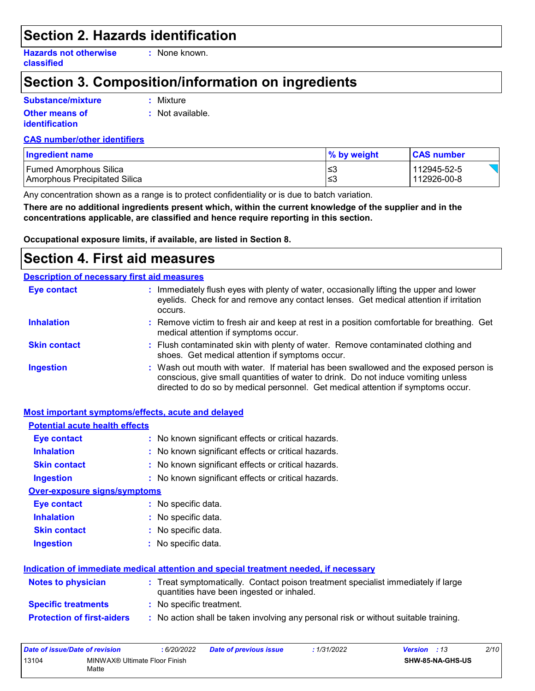### **Section 2. Hazards identification**

**Hazards not otherwise classified**

**:** None known.

# **Section 3. Composition/information on ingredients**

### **Substance/mixture**

**Other means of identification**

**:** Mixture

**:** Not available.

#### **CAS number/other identifiers**

| <b>Ingredient name</b>        | <b>1% by weight</b> | <b>CAS number</b> |
|-------------------------------|---------------------|-------------------|
| <b>Fumed Amorphous Silica</b> | }≥ا                 | 112945-52-5       |
| Amorphous Precipitated Silica | l≤3                 | 112926-00-8       |

Any concentration shown as a range is to protect confidentiality or is due to batch variation.

**There are no additional ingredients present which, within the current knowledge of the supplier and in the concentrations applicable, are classified and hence require reporting in this section.**

**Occupational exposure limits, if available, are listed in Section 8.**

### **Section 4. First aid measures**

#### Wash out mouth with water. If material has been swallowed and the exposed person is conscious, give small quantities of water to drink. Do not induce vomiting unless directed to do so by medical personnel. Get medical attention if symptoms occur. : Immediately flush eyes with plenty of water, occasionally lifting the upper and lower eyelids. Check for and remove any contact lenses. Get medical attention if irritation occurs. Flush contaminated skin with plenty of water. Remove contaminated clothing and **:** shoes. Get medical attention if symptoms occur. Remove victim to fresh air and keep at rest in a position comfortable for breathing. Get **:** medical attention if symptoms occur. **Eye contact Skin contact Inhalation Ingestion : Description of necessary first aid measures**

#### **Most important symptoms/effects, acute and delayed**

| <b>Potential acute health effects</b> |                                                                                                                                |
|---------------------------------------|--------------------------------------------------------------------------------------------------------------------------------|
| <b>Eye contact</b>                    | : No known significant effects or critical hazards.                                                                            |
| <b>Inhalation</b>                     | : No known significant effects or critical hazards.                                                                            |
| <b>Skin contact</b>                   | : No known significant effects or critical hazards.                                                                            |
| <b>Ingestion</b>                      | : No known significant effects or critical hazards.                                                                            |
| <b>Over-exposure signs/symptoms</b>   |                                                                                                                                |
| Eye contact                           | : No specific data.                                                                                                            |
| <b>Inhalation</b>                     | : No specific data.                                                                                                            |
| <b>Skin contact</b>                   | : No specific data.                                                                                                            |
| <b>Ingestion</b>                      | : No specific data.                                                                                                            |
|                                       | Indication of immediate medical attention and special treatment needed, if necessary                                           |
| <b>Notes to physician</b>             | : Treat symptomatically. Contact poison treatment specialist immediately if large<br>quantities have been ingested or inhaled. |
| <b>Specific treatments</b>            | : No specific treatment.                                                                                                       |
| <b>Protection of first-aiders</b>     | : No action shall be taken involving any personal risk or without suitable training.                                           |

| Date of issue/Date of revision |                                        | 6/20/2022 | <b>Date of previous issue</b> | 1/31/2022 | <b>Version</b> : 13 |                         | 2/10 |
|--------------------------------|----------------------------------------|-----------|-------------------------------|-----------|---------------------|-------------------------|------|
| 13104                          | MINWAX® Ultimate Floor Finish<br>Matte |           |                               |           |                     | <b>SHW-85-NA-GHS-US</b> |      |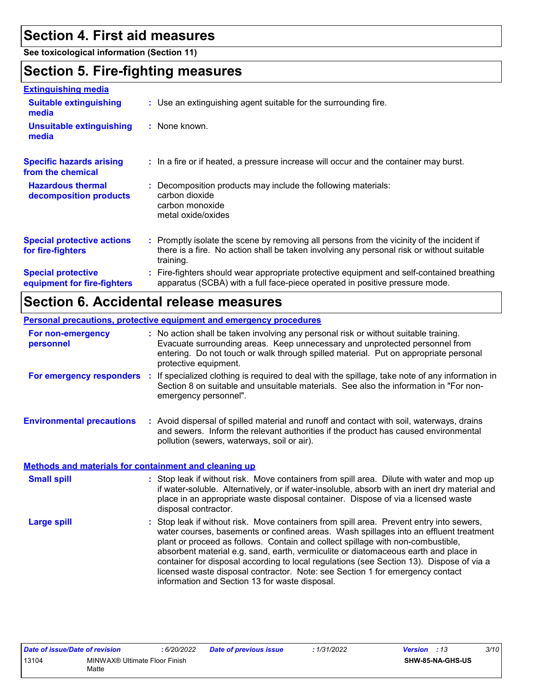# **Section 4. First aid measures**

**See toxicological information (Section 11)**

# **Section 5. Fire-fighting measures**

| <b>Extinguishing media</b>                               |                                                                                                                                                                                                     |
|----------------------------------------------------------|-----------------------------------------------------------------------------------------------------------------------------------------------------------------------------------------------------|
| <b>Suitable extinguishing</b><br>media                   | : Use an extinguishing agent suitable for the surrounding fire.                                                                                                                                     |
| Unsuitable extinguishing<br>media                        | : None known.                                                                                                                                                                                       |
| <b>Specific hazards arising</b><br>from the chemical     | : In a fire or if heated, a pressure increase will occur and the container may burst.                                                                                                               |
| <b>Hazardous thermal</b><br>decomposition products       | Decomposition products may include the following materials:<br>carbon dioxide<br>carbon monoxide<br>metal oxide/oxides                                                                              |
| <b>Special protective actions</b><br>for fire-fighters   | : Promptly isolate the scene by removing all persons from the vicinity of the incident if<br>there is a fire. No action shall be taken involving any personal risk or without suitable<br>training. |
| <b>Special protective</b><br>equipment for fire-fighters | : Fire-fighters should wear appropriate protective equipment and self-contained breathing<br>apparatus (SCBA) with a full face-piece operated in positive pressure mode.                            |

# **Section 6. Accidental release measures**

**Personal precautions, protective equipment and emergency procedures**

| For non-emergency<br>personnel   | : No action shall be taken involving any personal risk or without suitable training.<br>Evacuate surrounding areas. Keep unnecessary and unprotected personnel from<br>entering. Do not touch or walk through spilled material. Put on appropriate personal<br>protective equipment. |
|----------------------------------|--------------------------------------------------------------------------------------------------------------------------------------------------------------------------------------------------------------------------------------------------------------------------------------|
| For emergency responders         | : If specialized clothing is required to deal with the spillage, take note of any information in<br>Section 8 on suitable and unsuitable materials. See also the information in "For non-<br>emergency personnel".                                                                   |
| <b>Environmental precautions</b> | : Avoid dispersal of spilled material and runoff and contact with soil, waterways, drains<br>and sewers. Inform the relevant authorities if the product has caused environmental<br>pollution (sewers, waterways, soil or air).                                                      |

#### **Methods and materials for containment and cleaning up**

| <b>Small spill</b> | : Stop leak if without risk. Move containers from spill area. Dilute with water and mop up<br>if water-soluble. Alternatively, or if water-insoluble, absorb with an inert dry material and<br>place in an appropriate waste disposal container. Dispose of via a licensed waste<br>disposal contractor.                                                                                                                                                                                                                                                                                   |
|--------------------|--------------------------------------------------------------------------------------------------------------------------------------------------------------------------------------------------------------------------------------------------------------------------------------------------------------------------------------------------------------------------------------------------------------------------------------------------------------------------------------------------------------------------------------------------------------------------------------------|
| <b>Large spill</b> | : Stop leak if without risk. Move containers from spill area. Prevent entry into sewers,<br>water courses, basements or confined areas. Wash spillages into an effluent treatment<br>plant or proceed as follows. Contain and collect spillage with non-combustible,<br>absorbent material e.g. sand, earth, vermiculite or diatomaceous earth and place in<br>container for disposal according to local regulations (see Section 13). Dispose of via a<br>licensed waste disposal contractor. Note: see Section 1 for emergency contact<br>information and Section 13 for waste disposal. |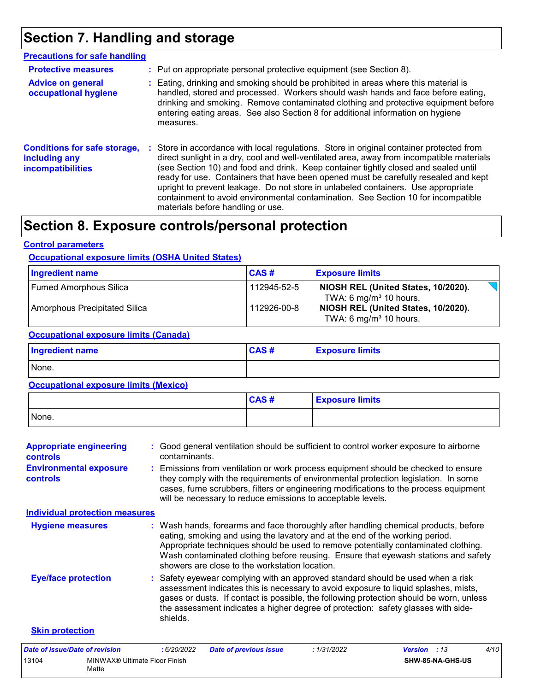# **Section 7. Handling and storage**

| <b>Precautions for safe handling</b>                                      |                                                                                                                                                                                                                                                                                                                                                                                                                                                                                                                                                                                    |
|---------------------------------------------------------------------------|------------------------------------------------------------------------------------------------------------------------------------------------------------------------------------------------------------------------------------------------------------------------------------------------------------------------------------------------------------------------------------------------------------------------------------------------------------------------------------------------------------------------------------------------------------------------------------|
| <b>Protective measures</b>                                                | : Put on appropriate personal protective equipment (see Section 8).                                                                                                                                                                                                                                                                                                                                                                                                                                                                                                                |
| <b>Advice on general</b><br>occupational hygiene                          | : Eating, drinking and smoking should be prohibited in areas where this material is<br>handled, stored and processed. Workers should wash hands and face before eating,<br>drinking and smoking. Remove contaminated clothing and protective equipment before<br>entering eating areas. See also Section 8 for additional information on hygiene<br>measures.                                                                                                                                                                                                                      |
| <b>Conditions for safe storage,</b><br>including any<br>incompatibilities | : Store in accordance with local regulations. Store in original container protected from<br>direct sunlight in a dry, cool and well-ventilated area, away from incompatible materials<br>(see Section 10) and food and drink. Keep container tightly closed and sealed until<br>ready for use. Containers that have been opened must be carefully resealed and kept<br>upright to prevent leakage. Do not store in unlabeled containers. Use appropriate<br>containment to avoid environmental contamination. See Section 10 for incompatible<br>materials before handling or use. |

# **Section 8. Exposure controls/personal protection**

#### **Control parameters**

#### **Occupational exposure limits (OSHA United States)**

| <b>Ingredient name</b>                       | CAS#        | <b>Exposure limits</b>                                                    |
|----------------------------------------------|-------------|---------------------------------------------------------------------------|
| <b>Fumed Amorphous Silica</b>                | 112945-52-5 | NIOSH REL (United States, 10/2020).<br>TWA: 6 mg/m $3$ 10 hours.          |
| Amorphous Precipitated Silica                | 112926-00-8 | NIOSH REL (United States, 10/2020).<br>TWA: 6 mg/m <sup>3</sup> 10 hours. |
| <b>Occupational exposure limits (Canada)</b> |             |                                                                           |
| <b>Ingredient name</b>                       | CAS#        | <b>Exposure limits</b>                                                    |
| None.                                        |             |                                                                           |
| <b>Occupational exposure limits (Mexico)</b> |             |                                                                           |
|                                              |             |                                                                           |

|       | CAS# | <b>Exposure limits</b> |
|-------|------|------------------------|
| None. |      |                        |

| <b>Appropriate engineering</b><br><b>controls</b> | : Good general ventilation should be sufficient to control worker exposure to airborne<br>contaminants.                                                                                                                                                                                                                                                                                           |
|---------------------------------------------------|---------------------------------------------------------------------------------------------------------------------------------------------------------------------------------------------------------------------------------------------------------------------------------------------------------------------------------------------------------------------------------------------------|
| <b>Environmental exposure</b><br><b>controls</b>  | : Emissions from ventilation or work process equipment should be checked to ensure<br>they comply with the requirements of environmental protection legislation. In some<br>cases, fume scrubbers, filters or engineering modifications to the process equipment<br>will be necessary to reduce emissions to acceptable levels.                                                                   |
| <b>Individual protection measures</b>             |                                                                                                                                                                                                                                                                                                                                                                                                   |
| <b>Hygiene measures</b>                           | : Wash hands, forearms and face thoroughly after handling chemical products, before<br>eating, smoking and using the lavatory and at the end of the working period.<br>Appropriate techniques should be used to remove potentially contaminated clothing.<br>Wash contaminated clothing before reusing. Ensure that eyewash stations and safety<br>showers are close to the workstation location. |
| <b>Eye/face protection</b>                        | : Safety eyewear complying with an approved standard should be used when a risk<br>assessment indicates this is necessary to avoid exposure to liquid splashes, mists,<br>gases or dusts. If contact is possible, the following protection should be worn, unless<br>the assessment indicates a higher degree of protection: safety glasses with side-<br>shields.                                |
| <b>Skin protection</b>                            |                                                                                                                                                                                                                                                                                                                                                                                                   |

| Date of issue/Date of revision |                                        | 6/20/2022 | <b>Date of previous issue</b> | : 1/31/2022 | <b>Version</b> : 13 |                  | 4/10 |
|--------------------------------|----------------------------------------|-----------|-------------------------------|-------------|---------------------|------------------|------|
| 13104                          | MINWAX® Ultimate Floor Finish<br>Matte |           |                               |             |                     | SHW-85-NA-GHS-US |      |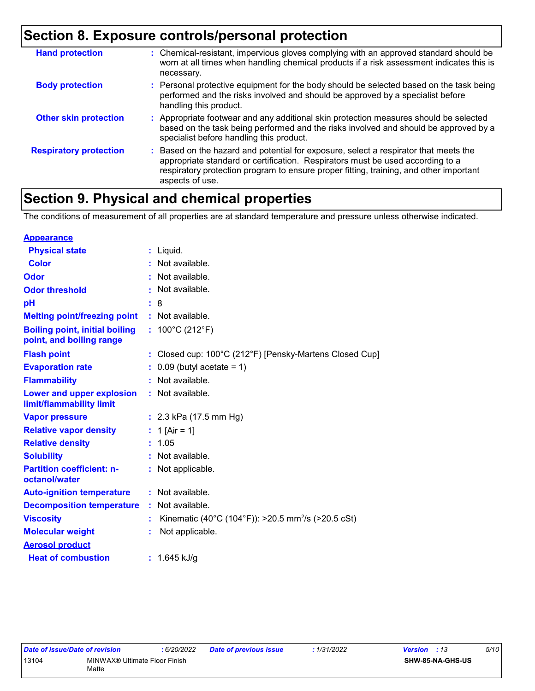# **Section 8. Exposure controls/personal protection**

| <b>Hand protection</b>        | : Chemical-resistant, impervious gloves complying with an approved standard should be<br>worn at all times when handling chemical products if a risk assessment indicates this is<br>necessary.                                                                                     |
|-------------------------------|-------------------------------------------------------------------------------------------------------------------------------------------------------------------------------------------------------------------------------------------------------------------------------------|
| <b>Body protection</b>        | : Personal protective equipment for the body should be selected based on the task being<br>performed and the risks involved and should be approved by a specialist before<br>handling this product.                                                                                 |
| <b>Other skin protection</b>  | : Appropriate footwear and any additional skin protection measures should be selected<br>based on the task being performed and the risks involved and should be approved by a<br>specialist before handling this product.                                                           |
| <b>Respiratory protection</b> | : Based on the hazard and potential for exposure, select a respirator that meets the<br>appropriate standard or certification. Respirators must be used according to a<br>respiratory protection program to ensure proper fitting, training, and other important<br>aspects of use. |

# **Section 9. Physical and chemical properties**

The conditions of measurement of all properties are at standard temperature and pressure unless otherwise indicated.

| <b>Appearance</b>                                                 |   |                                                                |
|-------------------------------------------------------------------|---|----------------------------------------------------------------|
| <b>Physical state</b>                                             |   | $:$ Liquid.                                                    |
| <b>Color</b>                                                      |   | Not available.                                                 |
| Odor                                                              |   | Not available.                                                 |
| <b>Odor threshold</b>                                             | ٠ | Not available.                                                 |
| pH                                                                |   | : 8                                                            |
| <b>Melting point/freezing point</b>                               |   | : Not available.                                               |
| <b>Boiling point, initial boiling</b><br>point, and boiling range |   | : $100^{\circ}$ C (212 $^{\circ}$ F)                           |
| <b>Flash point</b>                                                |   | : Closed cup: 100°C (212°F) [Pensky-Martens Closed Cup]        |
| <b>Evaporation rate</b>                                           |   | $0.09$ (butyl acetate = 1)                                     |
| <b>Flammability</b>                                               |   | Not available.                                                 |
| Lower and upper explosion<br>limit/flammability limit             |   | : Not available.                                               |
| <b>Vapor pressure</b>                                             |   | : $2.3$ kPa (17.5 mm Hg)                                       |
| <b>Relative vapor density</b>                                     |   | : 1 [Air = 1]                                                  |
| <b>Relative density</b>                                           |   | : 1.05                                                         |
| <b>Solubility</b>                                                 |   | Not available.                                                 |
| <b>Partition coefficient: n-</b><br>octanol/water                 |   | : Not applicable.                                              |
| <b>Auto-ignition temperature</b>                                  |   | : Not available.                                               |
| <b>Decomposition temperature</b>                                  |   | : Not available.                                               |
| <b>Viscosity</b>                                                  |   | Kinematic (40°C (104°F)): >20.5 mm <sup>2</sup> /s (>20.5 cSt) |
| <b>Molecular weight</b>                                           |   | Not applicable.                                                |
| <b>Aerosol product</b>                                            |   |                                                                |
| <b>Heat of combustion</b>                                         |   | : $1.645$ kJ/g                                                 |

$$
: 1/31/2022
$$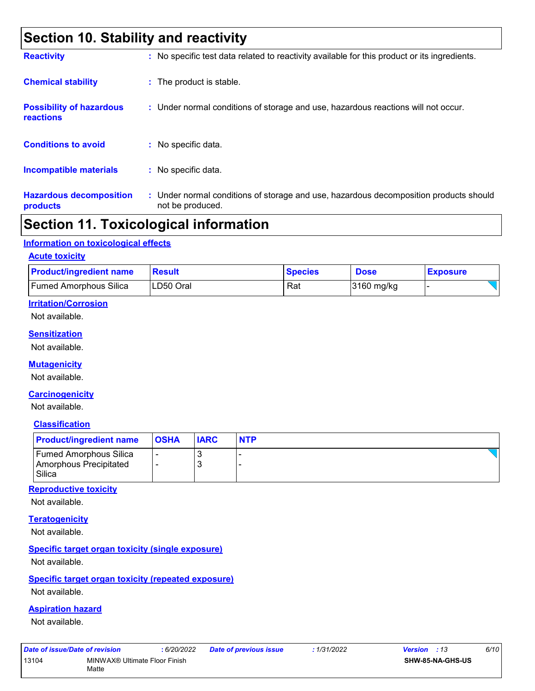# **Section 10. Stability and reactivity**

| <b>Reactivity</b>                            | : No specific test data related to reactivity available for this product or its ingredients.              |
|----------------------------------------------|-----------------------------------------------------------------------------------------------------------|
| <b>Chemical stability</b>                    | : The product is stable.                                                                                  |
| <b>Possibility of hazardous</b><br>reactions | : Under normal conditions of storage and use, hazardous reactions will not occur.                         |
| <b>Conditions to avoid</b>                   | : No specific data.                                                                                       |
| <b>Incompatible materials</b>                | : No specific data.                                                                                       |
| <b>Hazardous decomposition</b><br>products   | : Under normal conditions of storage and use, hazardous decomposition products should<br>not be produced. |

### **Section 11. Toxicological information**

#### **Information on toxicological effects**

#### **Acute toxicity**

| <b>Product/ingredient name</b> | Result    | <b>Species</b> | <b>Dose</b> | <b>Exposure</b> |
|--------------------------------|-----------|----------------|-------------|-----------------|
| Fumed Amorphous Silica         | LD50 Oral | Rat            | 3160 mg/kg  |                 |

#### **Irritation/Corrosion**

Not available.

#### **Sensitization**

Not available.

#### **Mutagenicity**

Not available.

#### **Carcinogenicity**

Not available.

#### **Classification**

| <b>Product/ingredient name</b>                                    | <b>OSHA</b> | <b>IARC</b> | <b>NTP</b> |
|-------------------------------------------------------------------|-------------|-------------|------------|
| <b>Fumed Amorphous Silica</b><br>Amorphous Precipitated<br>Silica | -           | $\sim$      |            |

#### **Reproductive toxicity**

Not available.

#### **Teratogenicity**

Not available.

#### **Specific target organ toxicity (single exposure)**

Not available.

#### **Specific target organ toxicity (repeated exposure)**

Not available.

#### **Aspiration hazard**

Not available.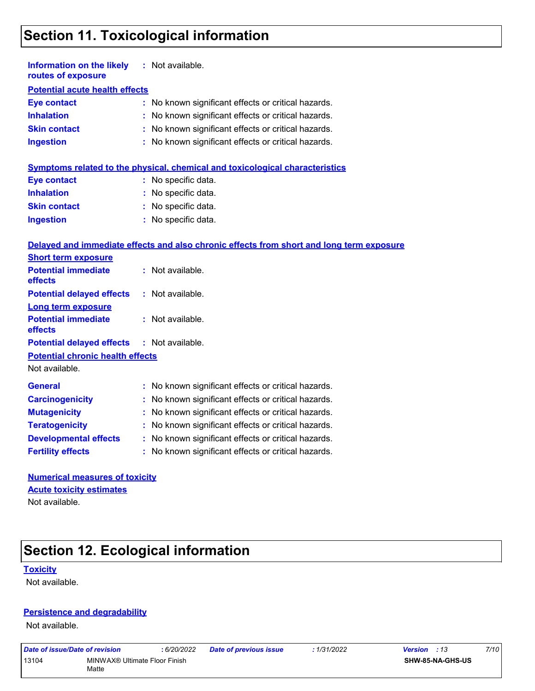# **Section 11. Toxicological information**

| Information on the likely<br>routes of exposure | : Not available.                                    |
|-------------------------------------------------|-----------------------------------------------------|
| <b>Potential acute health effects</b>           |                                                     |
| <b>Eye contact</b>                              | : No known significant effects or critical hazards. |
| <b>Inhalation</b>                               | : No known significant effects or critical hazards. |
| <b>Skin contact</b>                             | : No known significant effects or critical hazards. |
| <b>Ingestion</b>                                | : No known significant effects or critical hazards. |

|                     | Symptoms related to the physical, chemical and toxicological characteristics |
|---------------------|------------------------------------------------------------------------------|
| Eye contact         | : No specific data.                                                          |
| <b>Inhalation</b>   | : No specific data.                                                          |
| <b>Skin contact</b> | : No specific data.                                                          |
| <b>Ingestion</b>    | : No specific data.                                                          |

#### **Delayed and immediate effects and also chronic effects from short and long term exposure**

| <b>Short term exposure</b>                        |                                                     |
|---------------------------------------------------|-----------------------------------------------------|
| <b>Potential immediate</b><br>effects             | $:$ Not available.                                  |
| <b>Potential delayed effects</b>                  | $:$ Not available.                                  |
| Long term exposure                                |                                                     |
| <b>Potential immediate</b><br>effects             | $:$ Not available.                                  |
| <b>Potential delayed effects : Not available.</b> |                                                     |
| <b>Potential chronic health effects</b>           |                                                     |
| Not available.                                    |                                                     |
| <b>General</b>                                    | : No known significant effects or critical hazards. |
| <b>Carcinogenicity</b>                            | : No known significant effects or critical hazards. |
| <b>Mutagenicity</b>                               | : No known significant effects or critical hazards. |
| <b>Teratogenicity</b>                             | : No known significant effects or critical hazards. |
| <b>Developmental effects</b>                      | : No known significant effects or critical hazards. |
| <b>Fertility effects</b>                          | : No known significant effects or critical hazards. |
|                                                   |                                                     |

| <b>Numerical measures of toxicity</b> |  |
|---------------------------------------|--|
| <b>Acute toxicity estimates</b>       |  |
| Not available.                        |  |

# **Section 12. Ecological information**

#### **Toxicity**

Not available.

#### **Persistence and degradability**

Not available.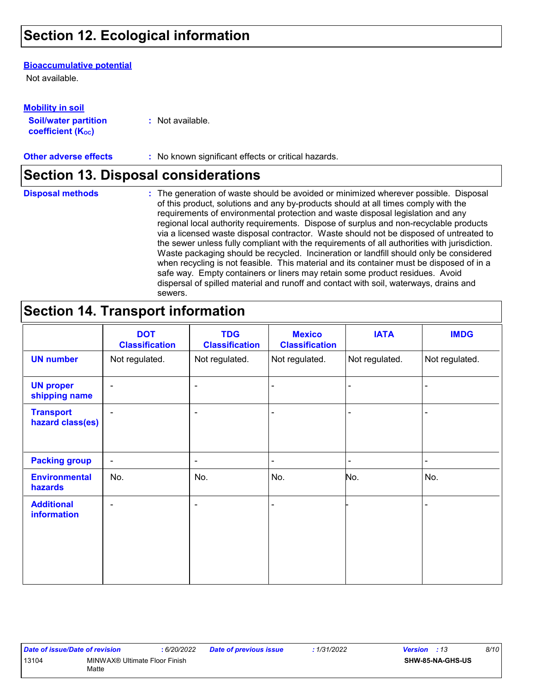# **Section 12. Ecological information**

#### **Bioaccumulative potential**

Not available.

| <b>Mobility in soil</b>                                 |                  |
|---------------------------------------------------------|------------------|
| <b>Soil/water partition</b><br><b>coefficient (Koc)</b> | : Not available. |

**Other adverse effects :** No known significant effects or critical hazards.

### **Section 13. Disposal considerations**

**Disposal methods :**

The generation of waste should be avoided or minimized wherever possible. Disposal of this product, solutions and any by-products should at all times comply with the requirements of environmental protection and waste disposal legislation and any regional local authority requirements. Dispose of surplus and non-recyclable products via a licensed waste disposal contractor. Waste should not be disposed of untreated to the sewer unless fully compliant with the requirements of all authorities with jurisdiction. Waste packaging should be recycled. Incineration or landfill should only be considered when recycling is not feasible. This material and its container must be disposed of in a safe way. Empty containers or liners may retain some product residues. Avoid dispersal of spilled material and runoff and contact with soil, waterways, drains and sewers.

### **Section 14. Transport information**

|                                         | <b>DOT</b><br><b>Classification</b> | <b>TDG</b><br><b>Classification</b> | <b>Mexico</b><br><b>Classification</b> | <b>IATA</b>    | <b>IMDG</b>    |
|-----------------------------------------|-------------------------------------|-------------------------------------|----------------------------------------|----------------|----------------|
| <b>UN number</b>                        | Not regulated.                      | Not regulated.                      | Not regulated.                         | Not regulated. | Not regulated. |
| <b>UN proper</b><br>shipping name       | $\blacksquare$                      | ۰                                   | ä,                                     |                |                |
| <b>Transport</b><br>hazard class(es)    | $\overline{\phantom{a}}$            | ۰                                   |                                        |                |                |
| <b>Packing group</b>                    | $\blacksquare$                      | ۰                                   | $\blacksquare$                         |                | $\blacksquare$ |
| <b>Environmental</b><br>hazards         | No.                                 | No.                                 | No.                                    | No.            | No.            |
| <b>Additional</b><br><b>information</b> | $\blacksquare$                      | ۰                                   | ä,                                     |                |                |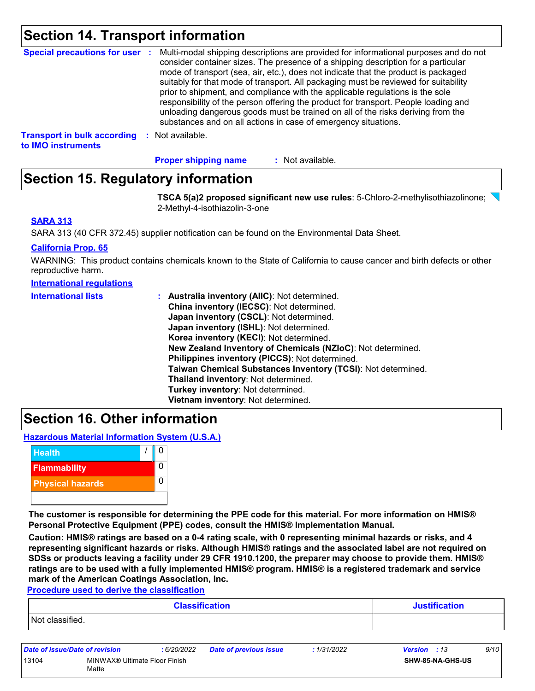# **Section 14. Transport information**

| Special precautions for user :                           | Multi-modal shipping descriptions are provided for informational purposes and do not<br>consider container sizes. The presence of a shipping description for a particular<br>mode of transport (sea, air, etc.), does not indicate that the product is packaged<br>suitably for that mode of transport. All packaging must be reviewed for suitability<br>prior to shipment, and compliance with the applicable regulations is the sole<br>responsibility of the person offering the product for transport. People loading and<br>unloading dangerous goods must be trained on all of the risks deriving from the<br>substances and on all actions in case of emergency situations. |
|----------------------------------------------------------|-------------------------------------------------------------------------------------------------------------------------------------------------------------------------------------------------------------------------------------------------------------------------------------------------------------------------------------------------------------------------------------------------------------------------------------------------------------------------------------------------------------------------------------------------------------------------------------------------------------------------------------------------------------------------------------|
| <b>Transport in bulk according</b><br>to IMO instruments | : Not available.                                                                                                                                                                                                                                                                                                                                                                                                                                                                                                                                                                                                                                                                    |

: Not available. **Proper shipping name :**

# **Section 15. Regulatory information**

**TSCA 5(a)2 proposed significant new use rules**: 5-Chloro-2-methylisothiazolinone; 2-Methyl-4-isothiazolin-3-one

#### **SARA 313**

SARA 313 (40 CFR 372.45) supplier notification can be found on the Environmental Data Sheet.

#### **California Prop. 65**

WARNING: This product contains chemicals known to the State of California to cause cancer and birth defects or other reproductive harm.

#### **International regulations**

| <b>International lists</b> | <b>Australia inventory (AllC): Not determined.</b>           |
|----------------------------|--------------------------------------------------------------|
|                            | China inventory (IECSC): Not determined.                     |
|                            | Japan inventory (CSCL): Not determined.                      |
|                            | Japan inventory (ISHL): Not determined.                      |
|                            | Korea inventory (KECI): Not determined.                      |
|                            | New Zealand Inventory of Chemicals (NZIoC): Not determined.  |
|                            | Philippines inventory (PICCS): Not determined.               |
|                            | Taiwan Chemical Substances Inventory (TCSI): Not determined. |
|                            | Thailand inventory: Not determined.                          |
|                            | Turkey inventory: Not determined.                            |
|                            | Vietnam inventory: Not determined.                           |

### **Section 16. Other information**

**Hazardous Material Information System (U.S.A.)**



**The customer is responsible for determining the PPE code for this material. For more information on HMIS® Personal Protective Equipment (PPE) codes, consult the HMIS® Implementation Manual.**

**Caution: HMIS® ratings are based on a 0-4 rating scale, with 0 representing minimal hazards or risks, and 4 representing significant hazards or risks. Although HMIS® ratings and the associated label are not required on SDSs or products leaving a facility under 29 CFR 1910.1200, the preparer may choose to provide them. HMIS® ratings are to be used with a fully implemented HMIS® program. HMIS® is a registered trademark and service mark of the American Coatings Association, Inc.**

**Procedure used to derive the classification**

| <b>Classification</b> | <b>Justification</b> |  |  |
|-----------------------|----------------------|--|--|
| Not classified.       |                      |  |  |
|                       |                      |  |  |

| Date of issue/Date of revision |                                        | : 6/20/2022 | <b>Date of previous issue</b> | : 1/31/2022 | <b>Version</b> : 13 |                         | 9/10 |
|--------------------------------|----------------------------------------|-------------|-------------------------------|-------------|---------------------|-------------------------|------|
| 13104                          | MINWAX® Ultimate Floor Finish<br>Matte |             |                               |             |                     | <b>SHW-85-NA-GHS-US</b> |      |